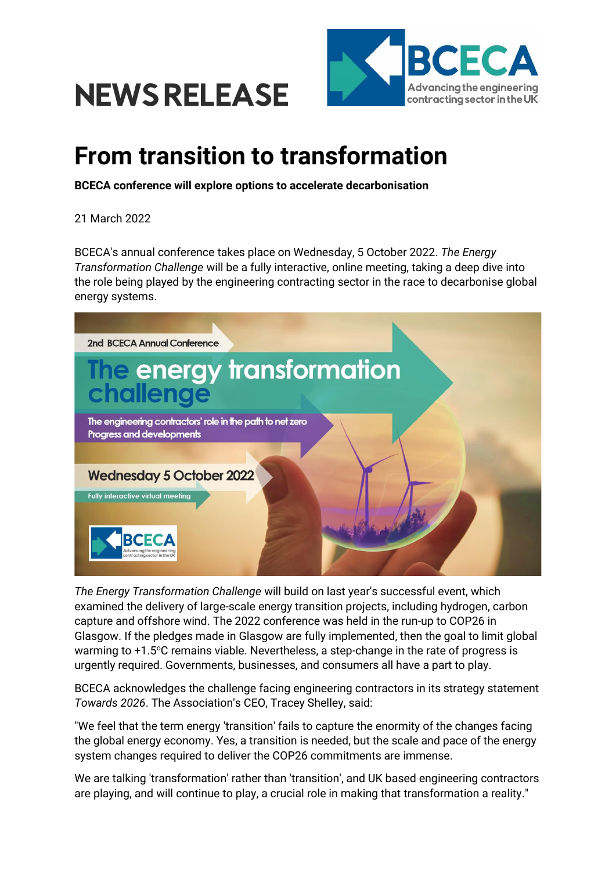



## **From transition to transformation**

**BCECA conference will explore options to accelerate decarbonisation**

21 March 2022

BCECA's annual conference takes place on Wednesday, 5 October 2022. *The Energy Transformation Challenge* will be a fully interactive, online meeting, taking a deep dive into the role being played by the engineering contracting sector in the race to decarbonise global energy systems.



*The Energy Transformation Challenge* will build on last year's successful event, which examined the delivery of large-scale energy transition projects, including hydrogen, carbon capture and offshore wind. The 2022 conference was held in the run-up to COP26 in Glasgow. If the pledges made in Glasgow are fully implemented, then the goal to limit global warming to +1.5°C remains viable. Nevertheless, a step-change in the rate of progress is urgently required. Governments, businesses, and consumers all have a part to play.

BCECA acknowledges the challenge facing engineering contractors in its strategy statement *Towards 2026*. The Association's CEO, Tracey Shelley, said:

"We feel that the term energy 'transition' fails to capture the enormity of the changes facing the global energy economy. Yes, a transition is needed, but the scale and pace of the energy system changes required to deliver the COP26 commitments are immense.

We are talking 'transformation' rather than 'transition', and UK based engineering contractors are playing, and will continue to play, a crucial role in making that transformation a reality."